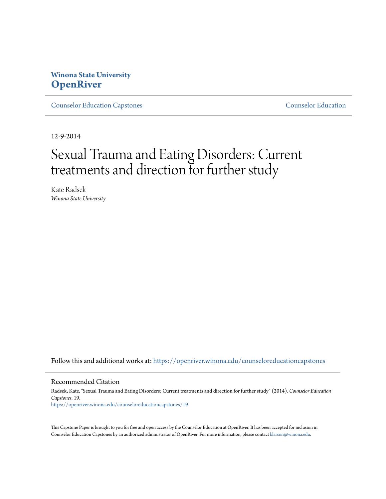# **Winona State University [OpenRiver](https://openriver.winona.edu?utm_source=openriver.winona.edu%2Fcounseloreducationcapstones%2F19&utm_medium=PDF&utm_campaign=PDFCoverPages)**

[Counselor Education Capstones](https://openriver.winona.edu/counseloreducationcapstones?utm_source=openriver.winona.edu%2Fcounseloreducationcapstones%2F19&utm_medium=PDF&utm_campaign=PDFCoverPages) [Counselor Education](https://openriver.winona.edu/counseloreducation?utm_source=openriver.winona.edu%2Fcounseloreducationcapstones%2F19&utm_medium=PDF&utm_campaign=PDFCoverPages)

12-9-2014

# Sexual Trauma and Eating Disorders: Current treatments and direction for further study

Kate Radsek *Winona State University*

Follow this and additional works at: [https://openriver.winona.edu/counseloreducationcapstones](https://openriver.winona.edu/counseloreducationcapstones?utm_source=openriver.winona.edu%2Fcounseloreducationcapstones%2F19&utm_medium=PDF&utm_campaign=PDFCoverPages)

#### Recommended Citation

Radsek, Kate, "Sexual Trauma and Eating Disorders: Current treatments and direction for further study" (2014). *Counselor Education Capstones*. 19. [https://openriver.winona.edu/counseloreducationcapstones/19](https://openriver.winona.edu/counseloreducationcapstones/19?utm_source=openriver.winona.edu%2Fcounseloreducationcapstones%2F19&utm_medium=PDF&utm_campaign=PDFCoverPages)

This Capstone Paper is brought to you for free and open access by the Counselor Education at OpenRiver. It has been accepted for inclusion in Counselor Education Capstones by an authorized administrator of OpenRiver. For more information, please contact [klarson@winona.edu](mailto:klarson@winona.edu).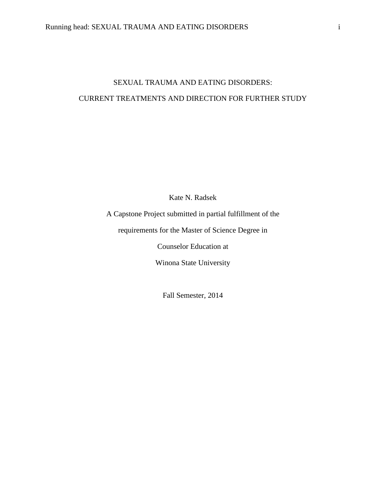# SEXUAL TRAUMA AND EATING DISORDERS: CURRENT TREATMENTS AND DIRECTION FOR FURTHER STUDY

Kate N. Radsek

A Capstone Project submitted in partial fulfillment of the

requirements for the Master of Science Degree in

Counselor Education at

Winona State University

Fall Semester, 2014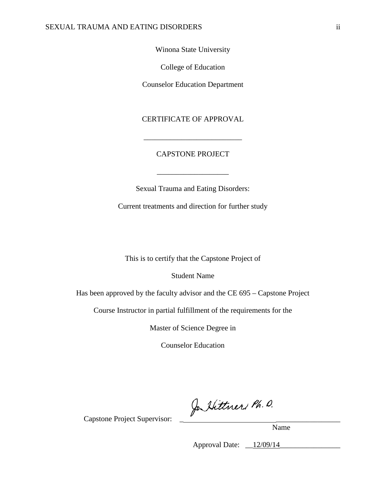Winona State University

College of Education

Counselor Education Department

CERTIFICATE OF APPROVAL

### CAPSTONE PROJECT

\_\_\_\_\_\_\_\_\_\_\_\_\_\_\_\_\_\_\_

\_\_\_\_\_\_\_\_\_\_\_\_\_\_\_\_\_\_\_\_\_\_\_\_\_\_

Sexual Trauma and Eating Disorders:

Current treatments and direction for further study

This is to certify that the Capstone Project of

Student Name

Has been approved by the faculty advisor and the CE 695 – Capstone Project

Course Instructor in partial fulfillment of the requirements for the

Master of Science Degree in

Counselor Education

Capstone Project Supervisor: \_ Jo Vittner, Ph. O.

Name

Approval Date: <u>12/09/14</u>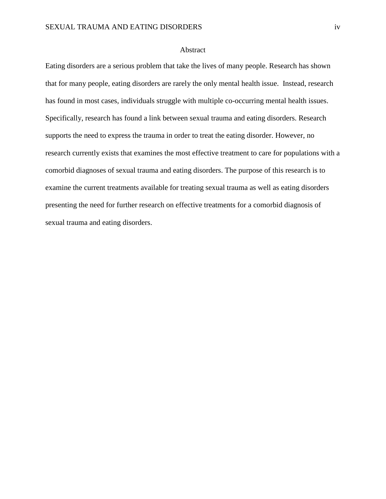#### Abstract

Eating disorders are a serious problem that take the lives of many people. Research has shown that for many people, eating disorders are rarely the only mental health issue. Instead, research has found in most cases, individuals struggle with multiple co-occurring mental health issues. Specifically, research has found a link between sexual trauma and eating disorders. Research supports the need to express the trauma in order to treat the eating disorder. However, no research currently exists that examines the most effective treatment to care for populations with a comorbid diagnoses of sexual trauma and eating disorders. The purpose of this research is to examine the current treatments available for treating sexual trauma as well as eating disorders presenting the need for further research on effective treatments for a comorbid diagnosis of sexual trauma and eating disorders.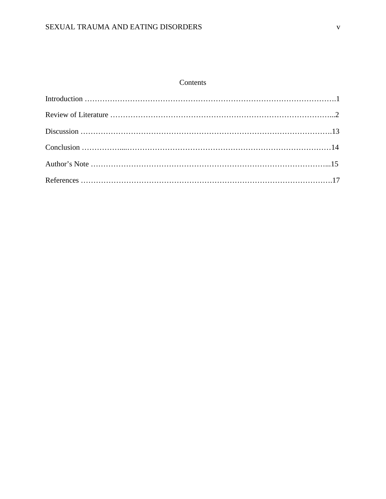## Contents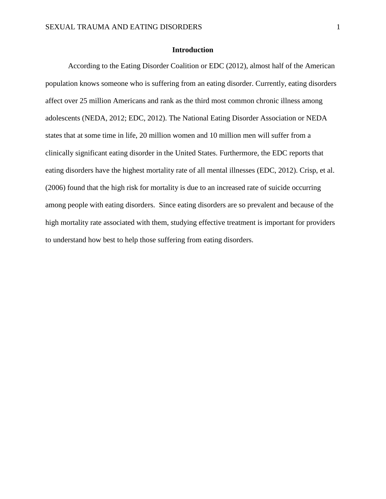#### **Introduction**

According to the Eating Disorder Coalition or EDC (2012), almost half of the American population knows someone who is suffering from an eating disorder. Currently, eating disorders affect over 25 million Americans and rank as the third most common chronic illness among adolescents (NEDA, 2012; EDC, 2012). The National Eating Disorder Association or NEDA states that at some time in life, 20 million women and 10 million men will suffer from a clinically significant eating disorder in the United States. Furthermore, the EDC reports that eating disorders have the highest mortality rate of all mental illnesses (EDC, 2012). Crisp, et al. (2006) found that the high risk for mortality is due to an increased rate of suicide occurring among people with eating disorders. Since eating disorders are so prevalent and because of the high mortality rate associated with them, studying effective treatment is important for providers to understand how best to help those suffering from eating disorders.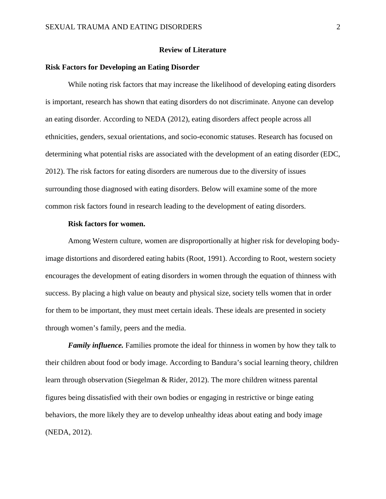#### **Review of Literature**

#### **Risk Factors for Developing an Eating Disorder**

While noting risk factors that may increase the likelihood of developing eating disorders is important, research has shown that eating disorders do not discriminate. Anyone can develop an eating disorder. According to NEDA (2012), eating disorders affect people across all ethnicities, genders, sexual orientations, and socio-economic statuses. Research has focused on determining what potential risks are associated with the development of an eating disorder (EDC, 2012). The risk factors for eating disorders are numerous due to the diversity of issues surrounding those diagnosed with eating disorders. Below will examine some of the more common risk factors found in research leading to the development of eating disorders.

#### **Risk factors for women.**

Among Western culture, women are disproportionally at higher risk for developing bodyimage distortions and disordered eating habits (Root, 1991). According to Root, western society encourages the development of eating disorders in women through the equation of thinness with success. By placing a high value on beauty and physical size, society tells women that in order for them to be important, they must meet certain ideals. These ideals are presented in society through women's family, peers and the media.

*Family influence.* Families promote the ideal for thinness in women by how they talk to their children about food or body image. According to Bandura's social learning theory, children learn through observation (Siegelman & Rider, 2012). The more children witness parental figures being dissatisfied with their own bodies or engaging in restrictive or binge eating behaviors, the more likely they are to develop unhealthy ideas about eating and body image (NEDA, 2012).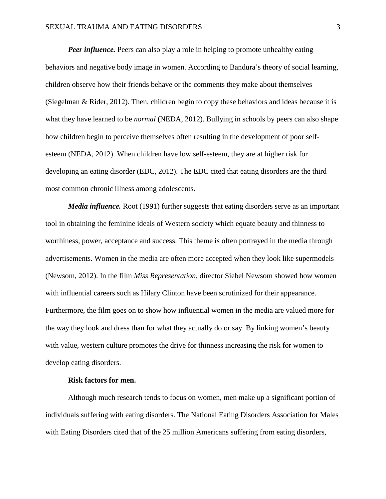*Peer influence.* Peers can also play a role in helping to promote unhealthy eating behaviors and negative body image in women. According to Bandura's theory of social learning, children observe how their friends behave or the comments they make about themselves (Siegelman & Rider, 2012). Then, children begin to copy these behaviors and ideas because it is what they have learned to be *normal* (NEDA, 2012). Bullying in schools by peers can also shape how children begin to perceive themselves often resulting in the development of poor selfesteem (NEDA, 2012). When children have low self-esteem, they are at higher risk for developing an eating disorder (EDC, 2012). The EDC cited that eating disorders are the third most common chronic illness among adolescents.

*Media influence.* Root (1991) further suggests that eating disorders serve as an important tool in obtaining the feminine ideals of Western society which equate beauty and thinness to worthiness, power, acceptance and success. This theme is often portrayed in the media through advertisements. Women in the media are often more accepted when they look like supermodels (Newsom, 2012). In the film *Miss Representation,* director Siebel Newsom showed how women with influential careers such as Hilary Clinton have been scrutinized for their appearance. Furthermore, the film goes on to show how influential women in the media are valued more for the way they look and dress than for what they actually do or say. By linking women's beauty with value, western culture promotes the drive for thinness increasing the risk for women to develop eating disorders.

#### **Risk factors for men.**

Although much research tends to focus on women, men make up a significant portion of individuals suffering with eating disorders. The National Eating Disorders Association for Males with Eating Disorders cited that of the 25 million Americans suffering from eating disorders,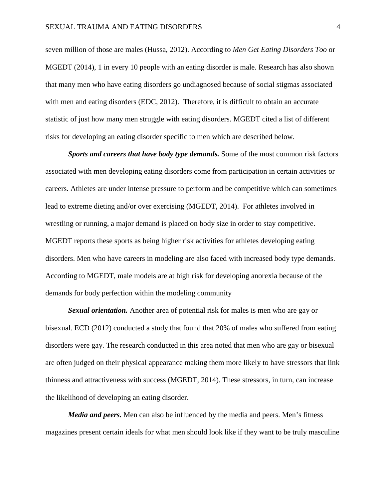seven million of those are males (Hussa, 2012). According to *Men Get Eating Disorders Too* or MGEDT (2014), 1 in every 10 people with an eating disorder is male. Research has also shown that many men who have eating disorders go undiagnosed because of social stigmas associated with men and eating disorders (EDC, 2012). Therefore, it is difficult to obtain an accurate statistic of just how many men struggle with eating disorders. MGEDT cited a list of different risks for developing an eating disorder specific to men which are described below.

*Sports and careers that have body type demands.* Some of the most common risk factors associated with men developing eating disorders come from participation in certain activities or careers. Athletes are under intense pressure to perform and be competitive which can sometimes lead to extreme dieting and/or over exercising (MGEDT, 2014). For athletes involved in wrestling or running, a major demand is placed on body size in order to stay competitive. MGEDT reports these sports as being higher risk activities for athletes developing eating disorders. Men who have careers in modeling are also faced with increased body type demands. According to MGEDT, male models are at high risk for developing anorexia because of the demands for body perfection within the modeling community

*Sexual orientation.* Another area of potential risk for males is men who are gay or bisexual. ECD (2012) conducted a study that found that 20% of males who suffered from eating disorders were gay. The research conducted in this area noted that men who are gay or bisexual are often judged on their physical appearance making them more likely to have stressors that link thinness and attractiveness with success (MGEDT, 2014). These stressors, in turn, can increase the likelihood of developing an eating disorder.

*Media and peers.* Men can also be influenced by the media and peers. Men's fitness magazines present certain ideals for what men should look like if they want to be truly masculine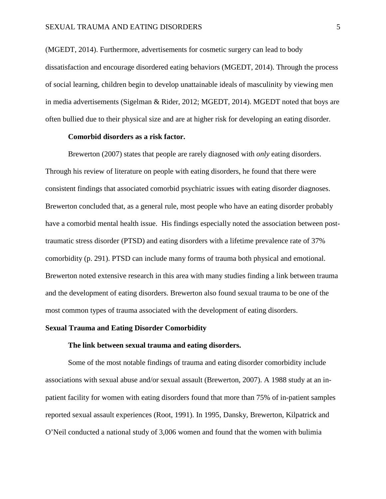(MGEDT, 2014). Furthermore, advertisements for cosmetic surgery can lead to body dissatisfaction and encourage disordered eating behaviors (MGEDT, 2014). Through the process of social learning, children begin to develop unattainable ideals of masculinity by viewing men in media advertisements (Sigelman & Rider, 2012; MGEDT, 2014). MGEDT noted that boys are often bullied due to their physical size and are at higher risk for developing an eating disorder.

#### **Comorbid disorders as a risk factor.**

Brewerton (2007) states that people are rarely diagnosed with *only* eating disorders. Through his review of literature on people with eating disorders, he found that there were consistent findings that associated comorbid psychiatric issues with eating disorder diagnoses. Brewerton concluded that, as a general rule, most people who have an eating disorder probably have a comorbid mental health issue. His findings especially noted the association between posttraumatic stress disorder (PTSD) and eating disorders with a lifetime prevalence rate of 37% comorbidity (p. 291). PTSD can include many forms of trauma both physical and emotional. Brewerton noted extensive research in this area with many studies finding a link between trauma and the development of eating disorders. Brewerton also found sexual trauma to be one of the most common types of trauma associated with the development of eating disorders.

#### **Sexual Trauma and Eating Disorder Comorbidity**

#### **The link between sexual trauma and eating disorders.**

Some of the most notable findings of trauma and eating disorder comorbidity include associations with sexual abuse and/or sexual assault (Brewerton, 2007). A 1988 study at an inpatient facility for women with eating disorders found that more than 75% of in-patient samples reported sexual assault experiences (Root, 1991). In 1995, Dansky, Brewerton, Kilpatrick and O'Neil conducted a national study of 3,006 women and found that the women with bulimia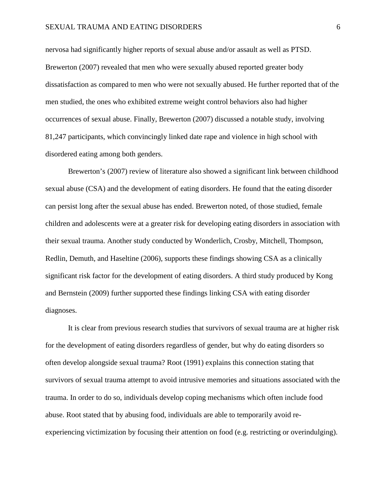nervosa had significantly higher reports of sexual abuse and/or assault as well as PTSD. Brewerton (2007) revealed that men who were sexually abused reported greater body dissatisfaction as compared to men who were not sexually abused. He further reported that of the men studied, the ones who exhibited extreme weight control behaviors also had higher occurrences of sexual abuse. Finally, Brewerton (2007) discussed a notable study, involving 81,247 participants, which convincingly linked date rape and violence in high school with disordered eating among both genders.

Brewerton's (2007) review of literature also showed a significant link between childhood sexual abuse (CSA) and the development of eating disorders. He found that the eating disorder can persist long after the sexual abuse has ended. Brewerton noted, of those studied, female children and adolescents were at a greater risk for developing eating disorders in association with their sexual trauma. Another study conducted by Wonderlich, Crosby, Mitchell, Thompson, Redlin, Demuth, and Haseltine (2006), supports these findings showing CSA as a clinically significant risk factor for the development of eating disorders. A third study produced by Kong and Bernstein (2009) further supported these findings linking CSA with eating disorder diagnoses.

It is clear from previous research studies that survivors of sexual trauma are at higher risk for the development of eating disorders regardless of gender, but why do eating disorders so often develop alongside sexual trauma? Root (1991) explains this connection stating that survivors of sexual trauma attempt to avoid intrusive memories and situations associated with the trauma. In order to do so, individuals develop coping mechanisms which often include food abuse. Root stated that by abusing food, individuals are able to temporarily avoid reexperiencing victimization by focusing their attention on food (e.g. restricting or overindulging).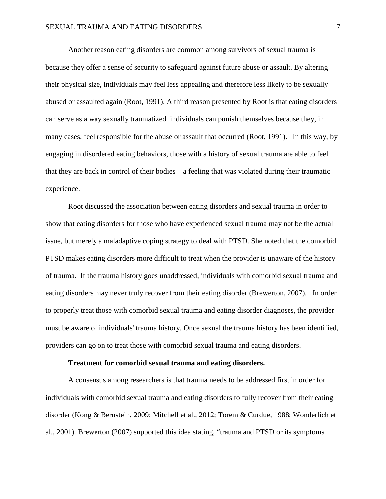Another reason eating disorders are common among survivors of sexual trauma is because they offer a sense of security to safeguard against future abuse or assault. By altering their physical size, individuals may feel less appealing and therefore less likely to be sexually abused or assaulted again (Root, 1991). A third reason presented by Root is that eating disorders can serve as a way sexually traumatized individuals can punish themselves because they, in many cases, feel responsible for the abuse or assault that occurred (Root, 1991). In this way, by engaging in disordered eating behaviors, those with a history of sexual trauma are able to feel that they are back in control of their bodies—a feeling that was violated during their traumatic experience.

Root discussed the association between eating disorders and sexual trauma in order to show that eating disorders for those who have experienced sexual trauma may not be the actual issue, but merely a maladaptive coping strategy to deal with PTSD. She noted that the comorbid PTSD makes eating disorders more difficult to treat when the provider is unaware of the history of trauma. If the trauma history goes unaddressed, individuals with comorbid sexual trauma and eating disorders may never truly recover from their eating disorder (Brewerton, 2007). In order to properly treat those with comorbid sexual trauma and eating disorder diagnoses, the provider must be aware of individuals' trauma history. Once sexual the trauma history has been identified, providers can go on to treat those with comorbid sexual trauma and eating disorders.

#### **Treatment for comorbid sexual trauma and eating disorders.**

A consensus among researchers is that trauma needs to be addressed first in order for individuals with comorbid sexual trauma and eating disorders to fully recover from their eating disorder (Kong & Bernstein, 2009; Mitchell et al., 2012; Torem & Curdue, 1988; Wonderlich et al., 2001). Brewerton (2007) supported this idea stating, "trauma and PTSD or its symptoms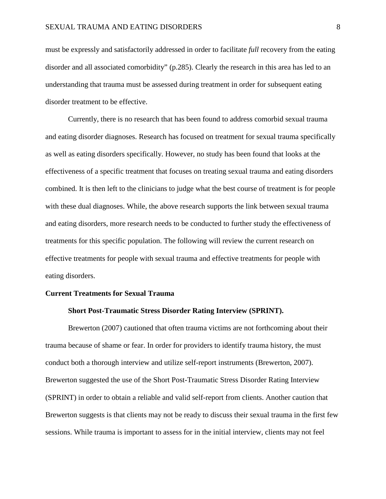must be expressly and satisfactorily addressed in order to facilitate *full* recovery from the eating disorder and all associated comorbidity" (p.285). Clearly the research in this area has led to an understanding that trauma must be assessed during treatment in order for subsequent eating disorder treatment to be effective.

Currently, there is no research that has been found to address comorbid sexual trauma and eating disorder diagnoses. Research has focused on treatment for sexual trauma specifically as well as eating disorders specifically. However, no study has been found that looks at the effectiveness of a specific treatment that focuses on treating sexual trauma and eating disorders combined. It is then left to the clinicians to judge what the best course of treatment is for people with these dual diagnoses. While, the above research supports the link between sexual trauma and eating disorders, more research needs to be conducted to further study the effectiveness of treatments for this specific population. The following will review the current research on effective treatments for people with sexual trauma and effective treatments for people with eating disorders.

#### **Current Treatments for Sexual Trauma**

#### **Short Post-Traumatic Stress Disorder Rating Interview (SPRINT).**

Brewerton (2007) cautioned that often trauma victims are not forthcoming about their trauma because of shame or fear. In order for providers to identify trauma history, the must conduct both a thorough interview and utilize self-report instruments (Brewerton, 2007). Brewerton suggested the use of the Short Post-Traumatic Stress Disorder Rating Interview (SPRINT) in order to obtain a reliable and valid self-report from clients. Another caution that Brewerton suggests is that clients may not be ready to discuss their sexual trauma in the first few sessions. While trauma is important to assess for in the initial interview, clients may not feel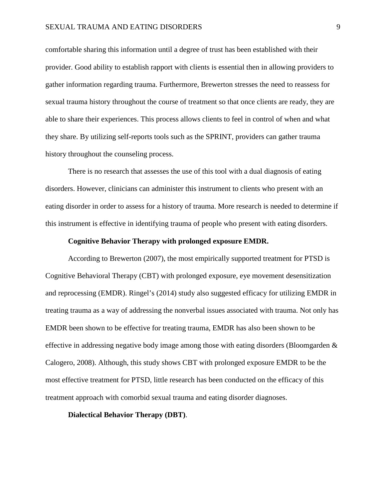comfortable sharing this information until a degree of trust has been established with their provider. Good ability to establish rapport with clients is essential then in allowing providers to gather information regarding trauma. Furthermore, Brewerton stresses the need to reassess for sexual trauma history throughout the course of treatment so that once clients are ready, they are able to share their experiences. This process allows clients to feel in control of when and what they share. By utilizing self-reports tools such as the SPRINT, providers can gather trauma history throughout the counseling process.

There is no research that assesses the use of this tool with a dual diagnosis of eating disorders. However, clinicians can administer this instrument to clients who present with an eating disorder in order to assess for a history of trauma. More research is needed to determine if this instrument is effective in identifying trauma of people who present with eating disorders.

#### **Cognitive Behavior Therapy with prolonged exposure EMDR.**

According to Brewerton (2007), the most empirically supported treatment for PTSD is Cognitive Behavioral Therapy (CBT) with prolonged exposure, eye movement desensitization and reprocessing (EMDR). Ringel's (2014) study also suggested efficacy for utilizing EMDR in treating trauma as a way of addressing the nonverbal issues associated with trauma. Not only has EMDR been shown to be effective for treating trauma, EMDR has also been shown to be effective in addressing negative body image among those with eating disorders (Bloomgarden & Calogero, 2008). Although, this study shows CBT with prolonged exposure EMDR to be the most effective treatment for PTSD, little research has been conducted on the efficacy of this treatment approach with comorbid sexual trauma and eating disorder diagnoses.

#### **Dialectical Behavior Therapy (DBT)**.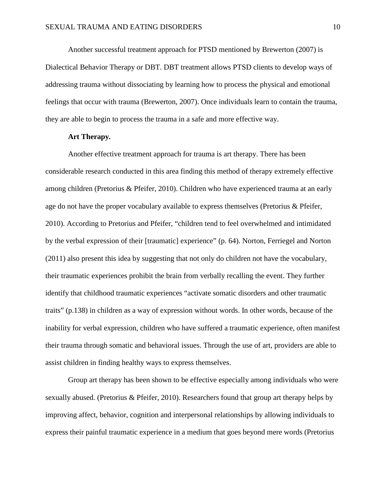Another successful treatment approach for PTSD mentioned by Brewerton (2007) is Dialectical Behavior Therapy or DBT. DBT treatment allows PTSD clients to develop ways of addressing trauma without dissociating by learning how to process the physical and emotional feelings that occur with trauma (Brewerton, 2007). Once individuals learn to contain the trauma, they are able to begin to process the trauma in a safe and more effective way.

#### **Art Therapy***.*

Another effective treatment approach for trauma is art therapy. There has been considerable research conducted in this area finding this method of therapy extremely effective among children (Pretorius & Pfeifer, 2010). Children who have experienced trauma at an early age do not have the proper vocabulary available to express themselves (Pretorius & Pfeifer, 2010). According to Pretorius and Pfeifer, "children tend to feel overwhelmed and intimidated by the verbal expression of their [traumatic] experience" (p. 64). Norton, Ferriegel and Norton (2011) also present this idea by suggesting that not only do children not have the vocabulary, their traumatic experiences prohibit the brain from verbally recalling the event. They further identify that childhood traumatic experiences "activate somatic disorders and other traumatic traits" (p.138) in children as a way of expression without words. In other words, because of the inability for verbal expression, children who have suffered a traumatic experience, often manifest their trauma through somatic and behavioral issues. Through the use of art, providers are able to assist children in finding healthy ways to express themselves.

Group art therapy has been shown to be effective especially among individuals who were sexually abused. (Pretorius & Pfeifer, 2010). Researchers found that group art therapy helps by improving affect, behavior, cognition and interpersonal relationships by allowing individuals to express their painful traumatic experience in a medium that goes beyond mere words (Pretorius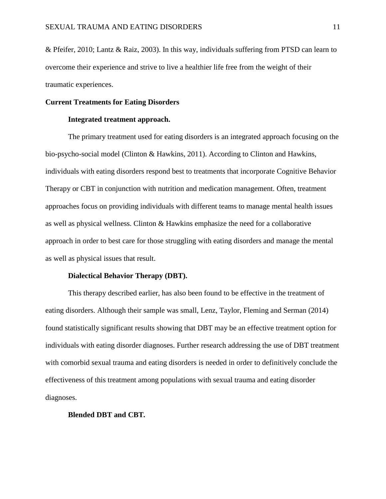& Pfeifer, 2010; Lantz & Raiz, 2003). In this way, individuals suffering from PTSD can learn to overcome their experience and strive to live a healthier life free from the weight of their traumatic experiences.

#### **Current Treatments for Eating Disorders**

#### **Integrated treatment approach.**

The primary treatment used for eating disorders is an integrated approach focusing on the bio-psycho-social model (Clinton & Hawkins, 2011). According to Clinton and Hawkins, individuals with eating disorders respond best to treatments that incorporate Cognitive Behavior Therapy or CBT in conjunction with nutrition and medication management. Often, treatment approaches focus on providing individuals with different teams to manage mental health issues as well as physical wellness. Clinton & Hawkins emphasize the need for a collaborative approach in order to best care for those struggling with eating disorders and manage the mental as well as physical issues that result.

#### **Dialectical Behavior Therapy (DBT).**

This therapy described earlier, has also been found to be effective in the treatment of eating disorders. Although their sample was small, Lenz, Taylor, Fleming and Serman (2014) found statistically significant results showing that DBT may be an effective treatment option for individuals with eating disorder diagnoses. Further research addressing the use of DBT treatment with comorbid sexual trauma and eating disorders is needed in order to definitively conclude the effectiveness of this treatment among populations with sexual trauma and eating disorder diagnoses.

#### **Blended DBT and CBT***.*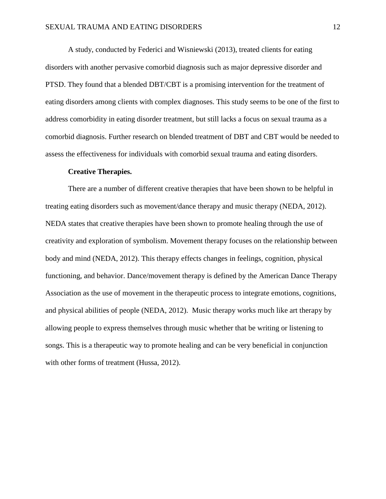A study, conducted by Federici and Wisniewski (2013), treated clients for eating disorders with another pervasive comorbid diagnosis such as major depressive disorder and PTSD. They found that a blended DBT/CBT is a promising intervention for the treatment of eating disorders among clients with complex diagnoses. This study seems to be one of the first to address comorbidity in eating disorder treatment, but still lacks a focus on sexual trauma as a comorbid diagnosis. Further research on blended treatment of DBT and CBT would be needed to assess the effectiveness for individuals with comorbid sexual trauma and eating disorders.

#### **Creative Therapies.**

There are a number of different creative therapies that have been shown to be helpful in treating eating disorders such as movement/dance therapy and music therapy (NEDA, 2012). NEDA states that creative therapies have been shown to promote healing through the use of creativity and exploration of symbolism. Movement therapy focuses on the relationship between body and mind (NEDA, 2012). This therapy effects changes in feelings, cognition, physical functioning, and behavior. Dance/movement therapy is defined by the American Dance Therapy Association as the use of movement in the therapeutic process to integrate emotions, cognitions, and physical abilities of people (NEDA, 2012). Music therapy works much like art therapy by allowing people to express themselves through music whether that be writing or listening to songs. This is a therapeutic way to promote healing and can be very beneficial in conjunction with other forms of treatment (Hussa, 2012).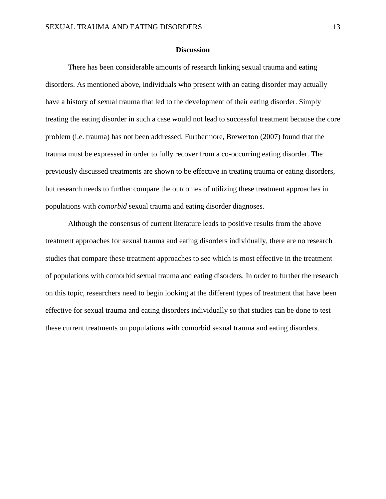#### **Discussion**

There has been considerable amounts of research linking sexual trauma and eating disorders. As mentioned above, individuals who present with an eating disorder may actually have a history of sexual trauma that led to the development of their eating disorder. Simply treating the eating disorder in such a case would not lead to successful treatment because the core problem (i.e. trauma) has not been addressed. Furthermore, Brewerton (2007) found that the trauma must be expressed in order to fully recover from a co-occurring eating disorder. The previously discussed treatments are shown to be effective in treating trauma or eating disorders, but research needs to further compare the outcomes of utilizing these treatment approaches in populations with *comorbid* sexual trauma and eating disorder diagnoses.

Although the consensus of current literature leads to positive results from the above treatment approaches for sexual trauma and eating disorders individually, there are no research studies that compare these treatment approaches to see which is most effective in the treatment of populations with comorbid sexual trauma and eating disorders. In order to further the research on this topic, researchers need to begin looking at the different types of treatment that have been effective for sexual trauma and eating disorders individually so that studies can be done to test these current treatments on populations with comorbid sexual trauma and eating disorders.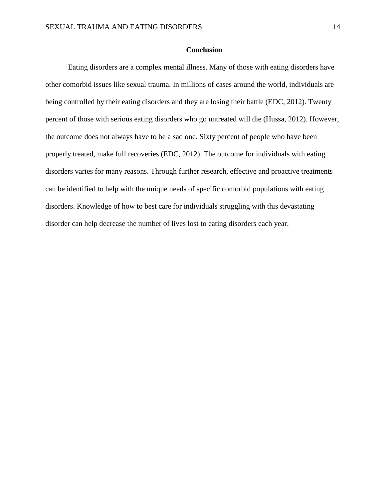#### **Conclusion**

Eating disorders are a complex mental illness. Many of those with eating disorders have other comorbid issues like sexual trauma. In millions of cases around the world, individuals are being controlled by their eating disorders and they are losing their battle (EDC, 2012). Twenty percent of those with serious eating disorders who go untreated will die (Hussa, 2012). However, the outcome does not always have to be a sad one. Sixty percent of people who have been properly treated, make full recoveries (EDC, 2012). The outcome for individuals with eating disorders varies for many reasons. Through further research, effective and proactive treatments can be identified to help with the unique needs of specific comorbid populations with eating disorders. Knowledge of how to best care for individuals struggling with this devastating disorder can help decrease the number of lives lost to eating disorders each year.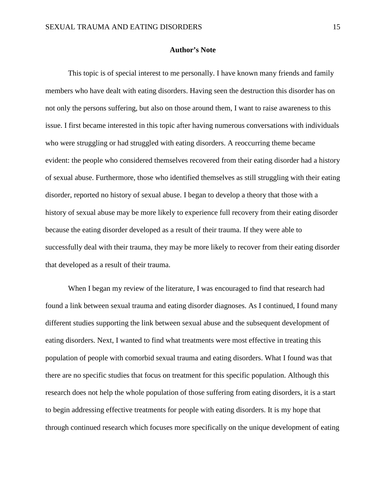#### **Author's Note**

This topic is of special interest to me personally. I have known many friends and family members who have dealt with eating disorders. Having seen the destruction this disorder has on not only the persons suffering, but also on those around them, I want to raise awareness to this issue. I first became interested in this topic after having numerous conversations with individuals who were struggling or had struggled with eating disorders. A reoccurring theme became evident: the people who considered themselves recovered from their eating disorder had a history of sexual abuse. Furthermore, those who identified themselves as still struggling with their eating disorder, reported no history of sexual abuse. I began to develop a theory that those with a history of sexual abuse may be more likely to experience full recovery from their eating disorder because the eating disorder developed as a result of their trauma. If they were able to successfully deal with their trauma, they may be more likely to recover from their eating disorder that developed as a result of their trauma.

When I began my review of the literature, I was encouraged to find that research had found a link between sexual trauma and eating disorder diagnoses. As I continued, I found many different studies supporting the link between sexual abuse and the subsequent development of eating disorders. Next, I wanted to find what treatments were most effective in treating this population of people with comorbid sexual trauma and eating disorders. What I found was that there are no specific studies that focus on treatment for this specific population. Although this research does not help the whole population of those suffering from eating disorders, it is a start to begin addressing effective treatments for people with eating disorders. It is my hope that through continued research which focuses more specifically on the unique development of eating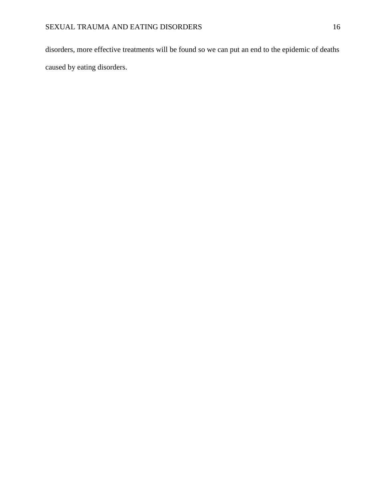disorders, more effective treatments will be found so we can put an end to the epidemic of deaths caused by eating disorders.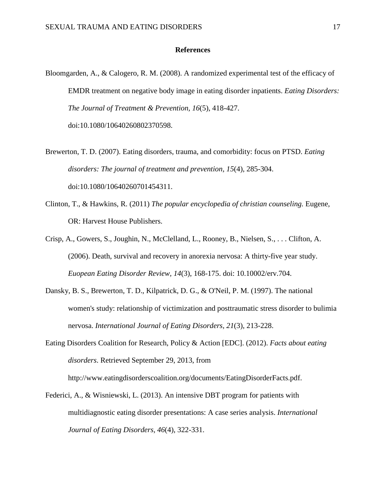#### **References**

Bloomgarden, A., & Calogero, R. M. (2008). A randomized experimental test of the efficacy of EMDR treatment on negative body image in eating disorder inpatients. *Eating Disorders: The Journal of Treatment & Prevention, 16*(5), 418-427. doi:10.1080/10640260802370598.

Brewerton, T. D. (2007). Eating disorders, trauma, and comorbidity: focus on PTSD. *Eating disorders: The journal of treatment and prevention, 15*(4), 285-304. doi:10.1080/10640260701454311.

- Clinton, T., & Hawkins, R. (2011) *The popular encyclopedia of christian counseling.* Eugene, OR: Harvest House Publishers.
- Crisp, A., Gowers, S., Joughin, N., McClelland, L., Rooney, B., Nielsen, S., . . . Clifton, A. (2006). Death, survival and recovery in anorexia nervosa: A thirty-five year study. *Euopean Eating Disorder Review, 14*(3), 168-175. doi: 10.10002/erv.704.
- Dansky, B. S., Brewerton, T. D., Kilpatrick, D. G., & O'Neil, P. M. (1997). The national women's study: relationship of victimization and posttraumatic stress disorder to bulimia nervosa. *International Journal of Eating Disorders, 21*(3), 213-228.
- Eating Disorders Coalition for Research, Policy & Action [EDC]. (2012). *Facts about eating disorders*. Retrieved September 29, 2013, from http://www.eatingdisorderscoalition.org/documents/EatingDisorderFacts.pdf.
- Federici, A., & Wisniewski, L. (2013). An intensive DBT program for patients with multidiagnostic eating disorder presentations: A case series analysis. *International Journal of Eating Disorders, 46*(4), 322-331.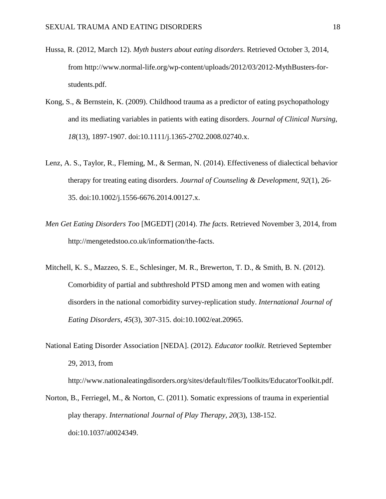- Hussa, R. (2012, March 12). *Myth busters about eating disorders*. Retrieved October 3, 2014, from http://www.normal-life.org/wp-content/uploads/2012/03/2012-MythBusters-forstudents.pdf.
- Kong, S., & Bernstein, K. (2009). Childhood trauma as a predictor of eating psychopathology and its mediating variables in patients with eating disorders. *Journal of Clinical Nursing*, *18*(13), 1897-1907. doi:10.1111/j.1365-2702.2008.02740.x.
- Lenz, A. S., Taylor, R., Fleming, M., & Serman, N. (2014). Effectiveness of dialectical behavior therapy for treating eating disorders. *Journal of Counseling & Development, 92*(1), 26- 35. doi:10.1002/j.1556-6676.2014.00127.x.
- *Men Get Eating Disorders Too* [MGEDT] (2014). *The facts*. Retrieved November 3, 2014, from http://mengetedstoo.co.uk/information/the-facts.
- Mitchell, K. S., Mazzeo, S. E., Schlesinger, M. R., Brewerton, T. D., & Smith, B. N. (2012). Comorbidity of partial and subthreshold PTSD among men and women with eating disorders in the national comorbidity survey-replication study. *International Journal of Eating Disorders, 45*(3), 307-315. doi:10.1002/eat.20965.
- National Eating Disorder Association [NEDA]. (2012). *Educator toolkit*. Retrieved September 29, 2013, from

http://www.nationaleatingdisorders.org/sites/default/files/Toolkits/EducatorToolkit.pdf.

Norton, B., Ferriegel, M., & Norton, C. (2011). Somatic expressions of trauma in experiential play therapy. *International Journal of Play Therapy, 20*(3), 138-152. doi:10.1037/a0024349.